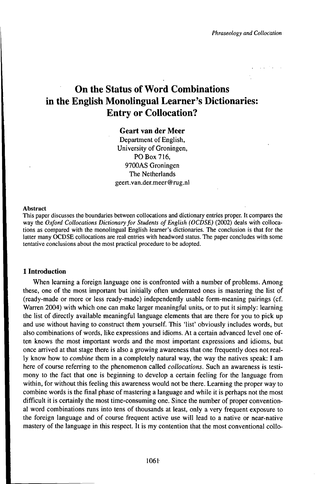# On the Status of Word Combinations in the English Monolingual Learner's Dictionaries: Entry or Collocation?

## Geart van der Meer

Department of English, University of Groningen, PO Box 716, 9700AS Groningen The Netherlands geert.van.der.meer@rug.nl

#### Abstract

This paper discusses the boundaries between collocations and dictionary entries proper. It compares the way the *Oxford Collocations Dictionaryfor Students ofEnglish (OCDSE)* (2002) deals with collocations as compared with the monolingual English learner's dictionaries. The conclusion is that for the latter many OCDSE collocations are real entries with headword status. The paper concludes with some tentative conclusions about the most practical procedure to be adopted.

### **1 Introduction**

When learning a foreign language one is confronted with a number of problems. Among these, one of the most important but initially often underrated ones is mastering the list of (ready-made or more or less ready-made) independently usable form-meaning pairings (cf. Warren 2004) with which one can make larger meaningful units, or to put it simply: learning the list of directly available meaningful language elements that are there for you to pick up and use without having to construct them yourself. This 'list' obviously includes words, but also combinations of words, like expressions and idioms. At a certain advanced level one often knows the most important words and the most important expressions and idioms, but once arrived at that stage there is also a growing awareness that one frequently does not really know how to *combine* them in a completely natural way, the way the natives speak: I am here of course referring to the phenomenon called *collocations.* Such an awareness is testimony to the fact that one is beginning to develop a certain feeling for the language from within, for without this feeling this awareness would not be there. Learning the proper way to combine words is the final phase of mastering a language and while it is perhaps not the most difficult it is certainly the most time-consuming one. Since the number of proper conventional word combinations runs into tens of thousands at least, only a very frequent exposure to the foreign language and of course frequent active use will lead to a native or near-native mastery of the language in this respect. It is my contention that the most conventional collo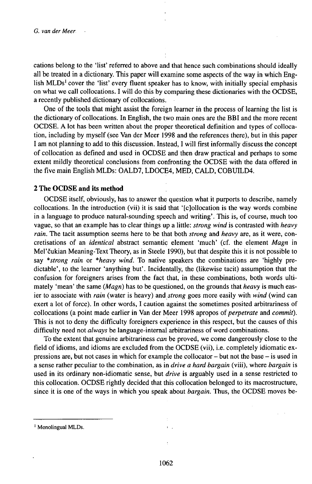cations belong to the 'list' referred to above and that hence such combinations should ideally all be treated in a dictionary. This paper will examine some aspects of the way in which English MLDs<sup>1</sup> cover the 'list' every fluent speaker has to know, with initially special emphasis on what we call collocations. I will do this by comparing these dictionaries with the OCDSE, a recently published dictionary of collocations.

One of the tools that might assist the foreign learner iń the process of learning the list is the dictionary of collocations. In English, the two main ones are the BBI and the more recent OCDSE. A lot has been written about the proper theoretical definition and types of collocation, including by myself (see Van der Meer 1998 and the references there), but in this paper <sup>1</sup> am not planning to add to this discussion. Instead, I will first informally discuss the concept of collocation as defined and used in OCDSE and then draw practical and perhaps to some extent mildly theoretical conclusions from confronting the OCDSE with the data offered in the five main English MLDs: OALD7, LDOCE4, MED, CALD, COBUILD4.

#### **2 The OCDSE and its method**

OCDSE itself, obviously, has to answer the question what it purports to describe, namely collocations. In the introduction (vii) it is said that '[c]ollocation is the way words combine in a language to produce natural-sounding speech and writing'. This is, of course, much too vague, so that an example has to clear things up a little: *strong wind* is contrasted with *heavy rain.* The tacit assumption seems here to be that both *strong* and *heavy* are, as it were, concrétisations of an *identical* abstract semantic element 'much' (cf. the element *Magn* in Mel'čukian Meaning-Text Theory, as in Steele 1990), but that despite this it is not possible to say *\*strong rain* or *\*heavy wind.* To native speakers the combinations are 'highly predictable', to the learner 'anything but'. Incidentally, the (likewise tacit) assumption that the confusion for foreigners arises from the fact that, in these combinations, both words ultimately 'mean' the same *(Magn)* has to be questioned, on the grounds that *heavy* is much easier to associate with *rain* (water is heavy) and *strong* goes more easily with *wind* (wind can exert a lot of force). In other words, I caution against the sometimes posited arbitrariness of collocations (a point made earlier in Van der Meer 1998 apropos *oiperpetrate* and *commit).* This is not to deny the difficulty foreigners experience in this respect, but the causes of this difficulty need not *always* be language-internal arbitrariness of word combinations.

To the extent that genuine arbitrariness *can* be proved, we come dangerously close to the field of idioms, and idioms are excluded from the OCDSE (vii), i.e. completely idiomatic expressions are, but not cases in which for example the collocator - but not the base - is used in a sense rather peculiar to the combination, as in *drive a hard bargain* (viii), where *bargain* is used in its ordinary non-idiomatic sense, but *drive* is arguably used in a sense restricted to this collocation. OCDSE rightly decided that this collocation belonged to its macrostructure, since it is one of the ways in which you speak about *bargain.* Thus, the OCDSE moves be-

<sup>&</sup>lt;sup>1</sup> Monolingual MLDs.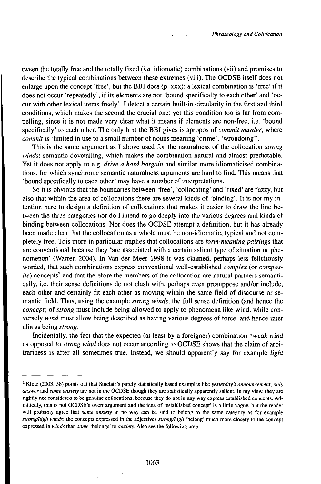tween the totally free and the totally fixed *(i.a.* idiomatic) combinations (vii) and promises to describe the typical combinations between these extremes (viii). The OCDSE itself does not enlarge upon the concept 'free', but the BBI does  $(p, xxx)$ : a lexical combination is 'free' if it does not occur 'repeatedly', if its elements are not 'bound specifically to each other' and 'occur with other lexical items freely'. I detect a certain built-in circularity in the first and third conditions, which makes the second the crucial one: yet this condition too is far from compelling, since it is not made very clear what it means if elements are non-free, i.e. 'bound specifically' to each other. The only hint the BBI gives is apropos of *commit murder,* where *commit* is 'limited in use to a small number of nouns meaning 'crime', 'wrondoing".

This is the same argument as I above used for the naturalness of the collocation *strong winds:* semantic dovetailing, which makes the combination natural and almost predictable. Yet it does not apply to e.g. *drive a hard bargain* and similar more idiomaticised combinations, for which synchronic semantic naturalness arguments are hard to find. This means that 'bound specifically to each other' may have a number of interpretations.

So it is obvious that the boundaries between 'free', 'collocating' and 'fixed' are fuzzy, but also that within the area of collocations there are several kinds of 'binding'. It is not my intention here to design a definition of collocations that makes it easier to draw the line between the three categories nor do I intend to go deeply into the various degrees and kinds of binding between collocations. Nor does the OCDSE attempt a definition, but it has already been made clear that the collocation as a whole must be non-idiomatic, typical and not completely free. This more in particular implies that collocations *areform-meaningpairings* that are conventional because they 'are associated with a certain salient type of situation or phenomenon' (Warren 2004). In Van der Meer 1998 it was claimed, perhaps less felicitously worded, that such combinations express conventional well-established *complex* (or *compos*ite) concepts<sup>2</sup> and that therefore the members of the collocation are natural partners semantically, i.e. their sense definitions do not clash with, perhaps even presuppose and/or include, each other and certainly fit each other as moving within the same field of discourse or semantic field. Thus, using the example *strong winds,* the full sense definition (and hence the *concept*) of *strong* must include being allowed to apply to phenomena like wind, while conversely *wind* must allow being described as having various degrees of force, and hence inter alia as being *strong.*

Incidentally, the fact that the expected (at least by a foreigner) combination *\*weak wind* as opposed to *strong wind* does not occur according to OCDSE shows that the claim of arbitrariness is after all sometimes true. Instead, we should apparently say for example *light*

<sup>2</sup> Klotz (2003: 58) points out that Sinclair's purely statistically based examples like *yesterday's announcement, only answer* and *some anxiety* are not in the OCDSE though they are statistically apparently salient. In my view, they are rightly not considered to be genuine collocations, because they do not in any way express established concepts. Admittedly, this is not OCDSE's overt argument and the idea of 'established concept' is a little vague, but the reader will probably agree that *some anxiety* in no way can be said to belong to the same category as for example *strongfliigh winds:* the concepts expressed in the adjectives *strongMgh* 'belong' much more closely to the concept expressed in *winds* than *some* 'belongs' to *anxiety.* Also see the following note.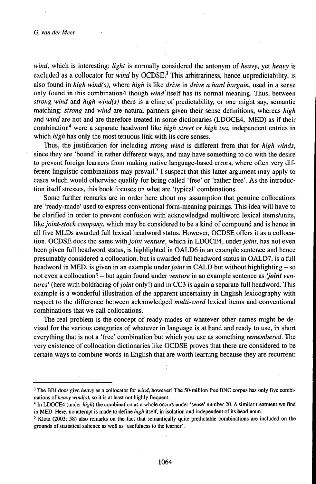*wind,* which is interesting: *light* is normally considered the antonym of *heavy,* yet *heavy* is excluded as a collocator for *wind* by OCDSE.<sup>3</sup> This arbitrariness, hence unpredictability, is also found in *high wind(s),* where *high* is like *drive* in *drive a hard bargain,* used in a sense only found in this combination4 though wwd'itself has its normal meaning. Thus, between *strong wind* and *high wind(s)* there is a cline, of predictability, or one might say, semantic matching: *strong* and *wind* are natural partners given their sense definitions, whereas *high* and *wind* are not and are therefore treated in some dictionaries (LDOCE4, MED) as if their combination<sup>4</sup> were a separate headword like *high street* or *high tea,* independent entries in which *high* has only the most tenuous link with its core senses.

Thus, the justification for including *strong wind* is different from that for *high winds,* since they are 'bound' in rather different ways, and may have something to do with the desire to prevent foreign learners from making native language-based errors, where often very different linguistic combinations may prevail.<sup>5</sup> I suspect that this latter argument may apply to cases which would otherwise qualify for being called 'free' or 'rather free'. As the introduction itself stresses, this book focuses on what are 'typical' combinations.

Some further remarks are in order here about my assumption that genuine collocations are 'ready-made' used to express conventional form-meaning pairings. This idea will have to be clarified in order to prevent confusion with acknowledged multiword lexical items/units, like *joint-stock company*, which may be considered to be a kind of compound and is hence in all five MLDs awarded full lexical headword status. However, OCDSE offers it as a collocation. OCDSE does the same with *joint venture*, which in LDOCE4, under *joint*, has not even been given full headword status, is highlighted in OALD6 in an example sentence and hence presumably considered a collocation, but is awarded full headword status in OALD7, is a full headword in MED, is given in an example *underjoint* in CALD but without highlighting - so not even <sup>a</sup> collocation? - but again found under *venture* in an example sentence as *'joint ventures'* (here with boldfacing *oîjoint* only!) and in CC3 is again a separate full headword. This example is a wonderful illustration of the apparent uncertainty in English lexicography with respect to the difference between acknowledged *multi-word* lexical items and conventional combinations that we call collocations.

The real problem is the concept of ready-mades or whatever other names might be devised for the various categories of whatever in language is at hand and ready to use, in short everything that is not a 'free' combination but which you use as something *remembered.* The very existence of collocation dictionaries like OCDSE proves that there are considered to be certain ways to combine words in English that are worth learning because they are recurrent:

<sup>&</sup>lt;sup>3</sup> The BBI does give *heavy* as a collocator for *wind*, however! The 50-million free BNC corpus has only five combinations of *heavy wind(s),* so it is at least not highly frequent.

<sup>4</sup> In LDOCE4 (under *high)* the combination as a whole occurs under 'sense' number 20. A similar treatment we find in MED. Here, no attempt is made to define *high* itself, in isolation and independent of its head noun.

<sup>5</sup> Klotz (2003: 58) also remarks on the fact that semantically quite predictable combinations are included on the grounds of statistical salience as well as 'usefulness to the learner'.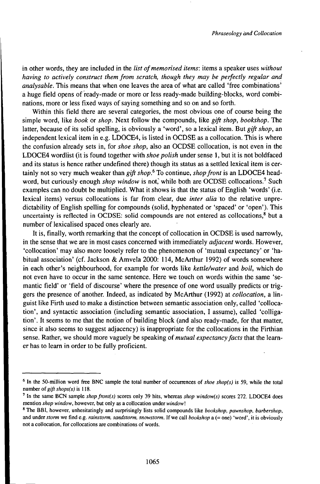in other words, they are included in the *list of memorised items*: items a speaker uses *without having to actively construct them from scratch, though they may be perfectly regular and analysable.* This means that when one leaves the area of what are called 'free combinations' a huge field opens of ready-made or more or less ready-made building-blocks, word combinations, more or less fixed ways of saying something and so on and so forth.

Within this field there are several categories, the most obvious one of course being the simple word, like *book* or *shop.* Next follow the compounds, like *gift shop, bookshop.* The latter, because of its solid spelling, is obviously a 'word', so a lexical item. But *gift shop,* an independent lexical item in e.g. LDOCE4, is listed in OCDSE as a collocation. This is where the confusion already sets in, for *shoe shop,* also an OCDSE collocation, is not even in the LDOCE4 wordlist (it is found together with *shoe polish* under sense 1, but it is not boldfaced and its status is hence rather undefined there) though its status as a settled lexical item is certainly not so very much weaker than *gift shop.<sup>6</sup>* To continue, *shopfront* is an LDOCE4 headword, but curiously enough *shop window* is not, while both are OCDSE collocations.<sup>7</sup> Such examples can no doubt be multiplied. What it shows is that the status of English 'words' (i.e. lexical items) versus collocations is far from clear, due *inter alia* to the relative unpredictability of English spelling for compounds (solid, hyphenated or 'spaced' or 'open'). This uncertainty is reflected in OCDSE: solid compounds are not entered as collocations, $<sup>8</sup>$  but a</sup> number of lexicalised spaced ones clearly are.

It is, finally, worth remarking that the concept of collocation in OCDSE is used narrowly, in the sense that we are in most cases concerned with immediately *adjacent* words. However, 'collocation' may also more loosely refer to the phenomenon of 'mutual expectancy' or 'habitual association' (cf. Jackson & Amvela 2000: 114, McArthur 1992) of words somewhere in each other's neighbourhood, for example for words like *kettle/water* and *boil,* which do not even have to occur in the same sentence. Here we touch on words within the same 'semantic field' or 'field of discourse' where the presence of one word usually predicts or triggers the presence of another. Indeed, as indicated by McArthur (1992) at *collocation,* a linguist like Firth used to make a distinction between semantic association only, called 'collocation', and syntactic association (including semantic association, I assume), called 'colligation'. It seems to me that the notion of building block (and also ready-made, for that matter, since it also seems to suggest adjacency) is inappropriate for the collocations in the Firthian sense. Rather, we should more vaguely be speaking of *mutual expectancyfacts* that the learner has to learn in order to be fully proficient.

<sup>6</sup> In the 50-million word free BNC sample the total number of occurrences of *shoe shop(s)* is 59, while the total number of *gift shops(s)* is 118.

<sup>7</sup> In the same BCN sample *shopfront(s)* scores only 39 hits, whereas *shop window(s)* scores 272. LDOCE4 does mention *shop window,* however, but only as a collocation under *window\*

<sup>8</sup> The BBI, however, unhesitatingly and surprisingly lists solid compounds like *bookshop, pawnshop, barbershop,* and under storm we find e.g. *rainstorm, sandstorm, snowstorm*. If we call *bookshop* a (= one) 'word', it is obviously not a collocation, for collocations are combinations of words.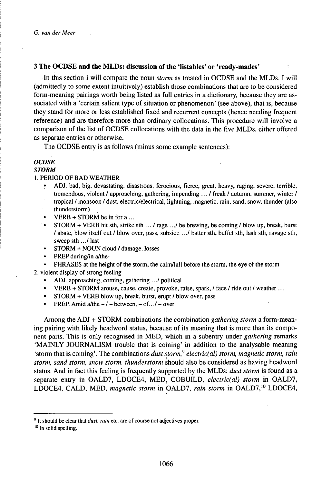### 3 **The OCDSE and the MLDs: discussion of the 'listables' or 'ready-mades'**

In this section I will compare the noun *storm* as treated in OCDSE and the MLDs. I will (admittedly to some extent intuitively) establish those combinations that are to be considered form-meaning pairings worth being listed as full entries in a dictionary, because they are associated with a 'certain salient type of situation or phenomenon' (see above), that is, because they stand for more or less established fixed and recurrent concepts (hence needing frequent reference) and are therefore more than ordinary collocations. This procedure will involve a comparison of the list of OCDSE collocationswith the data in the five MLDs, either offered as separate entries or otherwise.

The OCDSE entry is as follows (minus some example sentences):

## *OCDSE*

## *STORM*

#### 1. PERIOD OF BAD WEATHER

- ADJ. bad, big, devastating, disastrous, ferocious, fierce, great, heavy, raging, severe, terrible, tremendous, violent / approaching, gathering, impending ... / freak / autumn, summer, winter / tropical / monsoon / dust, electric/electrical,lightning, magnetic, rain, sand, snow, thunder (also thunderstorm)
- $VERB + STORM$  be in for a ...
- $STORM + VERB$  hit sth, strike sth  $\ldots$  / rage  $\ldots$  / be brewing, be coming / blow up, break, burst / abate, blow itself out / blow over, pass, subside .../ batter sth, buffet sth, lash sth, ravage sth, sweep sth .../ last
- STORM + NOUN cloud / damage, losses
- PREP during/in a/the-

• PHRASES at the height of the storm, the calm/lull before the storm, the eye of the storm 2. violent display of strong feeling

- ADJ. approaching, coming, gathering .../ political
- VERB + STORM arouse, cause, create, provoke, raise, spark, / face / ride out / weather ...
- STORM + VERB blow up, break, burst, erupt / blow over, pass
- PREP. Amid  $a$ /the  $-/-$  between,  $-$  of.../  $-$  over

Among the ADJ + STORM combinations the combination *gathering storm* a form-meaning pairing with likely headword status, because of its meaning that is more than its component parts. This is only recognised in MED, which in a subentry under *gathering* remarks 'MAINLY JOURNALISM trouble that is coming' in addition to the analysable meaning 'storm that is coming'. The combinations *duststorm,<sup>9</sup> electric(al) storm, magnetic storm, rain storm, sand storm, snow storm, thunderstorm* should also be considered as having headword status. And in fact this feeling is frequently supported by the MLDs: *dust storm* is found as a separate entry in OALD7, LDOCE4, MED, COBUILD, *electric(al) storm* in OALD7, LDOCE4, CALD, MED, *magnetic storm* in OALD7, *rain storm* in OALD7,<sup>10</sup> LDOCE4,

<sup>9</sup> It should be clear that *dust, rain* etc. are of course not adjectives proper.

<sup>&</sup>lt;sup>10</sup> In solid spelling.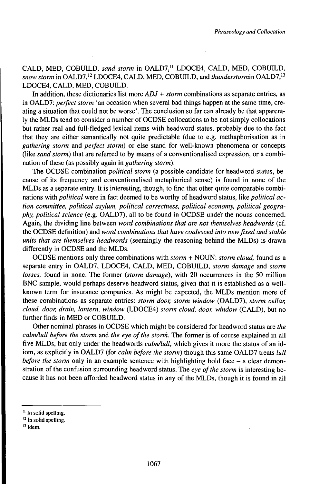CALD, MED, COBUILD, *sand storm* in OALD7,<sup>11</sup> LDOCE4, CALD, MED, COBUILD, *snow storm* in OALD7,<sup>12</sup> LDOCE4, CALD, MED, COBUILD, and *thunderstormin* OALD7,<sup>13</sup> LDOCE4, CALD, MED, COBUILD.

In addition, these dictionaries list more *ADJ + storm* combinations as separate entries, as in OALD7: *perfect storm* 'an occasion when several bad things happen at the same time, creating a situation that could not be worse'. The conclusion so far can already be that apparently the MLDs tend to consider a number of OCDSE collocations to be not simply collocations but rather real and full-fledged lexical items with headword status, probably due to the fact that they are either semantically not quite predictable (due to e.g. methaphorisation as in *gathering storm* and *perfect storm)* or else stand for well-known phenomena or concepts (like *sand storm)* that are referred to by means of a conventionalised expression, or a combination of these (as possibly again in *gathering storm).*

The OCDSE combination *political storm* (a possible candidate for headword status, because of its frequency and conventionalised metaphorical sense) is found in none of the MLDs as a separate entry. It is interesting, though, to find that other quite comparable combinations with *political* were in fact deemed to be worthy of headword status, like *political action committee, political asylum, political correctness, political economy, political geography, political science* (e.g. OALD7), all to be found in OCDSE under the nouns concerned. Again, the dividing line between *word combinations that are not themselves headwords* (cf. the OCDSE definition) and *word combinations that have coalesced into newfixed and stable units that are themselves headwords* (seemingly the reasoning behind the MLDs) is drawn differently in OCDSE and the MLDs.

OCDSE mentions only three combinations with *storm +* NOUN: *storm cloud,* found as a separate entry in OALD7, LDOCE4, CALD, MED, COBUILD, *storm damage* and *storm losses,* found in none. The former *(storm damage),* with 20 occurrences in the 50 million BNC sample, would perhaps deserve headword status, given that it is established as a wellknown term for insurance companies. As might be expected, the MLDs mention more of these combinations as separate entries: *storm door, storm window* (OALD7), *storm cellar, cloud, door, drain, lantern, window* (LDOCE4) *storm cloud, door, window* (CALD), but no further finds in MED or COBUILD.

Other nominal phrases in OCDSE which might be considered for headword status are *the calm/lull before the storm* and *the eye ofthe storm.* The former is of course explained in all five MLDs, but only under the headwords *calm/lull,* which gives it more the status of an idiom, as explicitly in OALD7 (for *calm before the storm)* though this same OALD7 treats *lull before the storm* only in an example sentence with highlighting bold face  $-$  a clear demonstration of the confusion surrounding headword status. The *eye ofthe storm* is interesting because it has not been afforded headword status in any of the MLDs, though it is found in all

 $13$  Idem.

<sup>&</sup>lt;sup>11</sup> In solid spelling.

<sup>&</sup>lt;sup>12</sup> In solid spelling.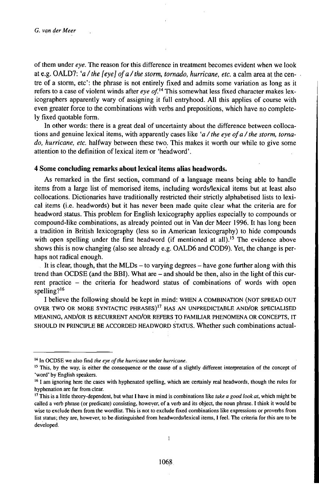ofthem under *eye.* The reason for this difference in treatment becomes evident when we look at e.g. OALD7: *'a/the [eye] ofa/the storm, tornado, hurricane, etc.* a calm area at the centre of a storm, etc': the phrase is not entirely fixed and admits some variation as long as it refers to <sup>a</sup> case of violent winds after *eye of.u* This somewhat less fixed character makes lexicographers apparently wary of assigning it full entryhood. All this applies of course with even greater force to the combinations with verbs and prepositions, which have no completely fixed quotable form.

In other words: there is a great deal of uncertainty about the difference between collocations and genuine lexical items, with apparently cases like *'a/the eye ofa/the storm, tornado, hurricane, etc.* halfway between these two. This makes it worth our while to give some attention to the definition of lexical item or 'headword'.

## **4 Some concluding remarks about lexical items alias headwords.**

As remarked in the first section, command of a language means being able to handle items from a large list of memorised items, including wordsflexical items but at least also collocations. Dictionaries have traditionally restricted their strictly alphabetised lists to lexical items (i.e. headwords) but it has never been made quite clear what the criteria are for headword status. This problem for English lexicography applies especially to compounds or compound-like combinations, as already pointed out in Van der Meer 1996. It has long been a tradition in British lexicography (less so in American lexicography) to hide compounds with open spelling under the first headword (if mentioned at all).<sup>15</sup> The evidence above shows this is now changing (also see already e.g. OALD6 and COD9). Yet, the change is perhaps not radical enough.

It is clear, though, that the MLDs – to varying degrees – have gone further along with this trend than OCDSE (and the BBI). What are - and should be then, also in the light of this current practice - the criteria for headword status of combinations of words with open spelling?<sup>16</sup>

I believe the following should be kept in mind: WHEN A COMBINATION (NOT SPREAD OUT OVER TWO OR MORE SYNTACTIC PHRASES)<sup>17</sup> HAS AN UNPREDICTABLE AND/OR SPECIALISED MEANING, AND/OR IS RECURRENT AND/OR REFERS TO FAMILIAR PHENOMENA OR CONCEPTS, IT SHOULD iN PRINCIPLE BE ACCORDED HEADWORD STATUS. Whether such combinations actual-

 $\overline{1}$ 

<sup>&</sup>lt;sup>14</sup> In OCDSE we also find *the eye of the hurricane* under *hurricane*.

<sup>&</sup>lt;sup>15</sup> This, by the way, is either the consequence or the cause of a slightly different interpretation of the concept of 'word' by English speakers.

<sup>&</sup>lt;sup>16</sup> I am ignoring here the cases with hyphenated spelling, which are certainly real headwords, though the rules for hyphenation are far from clear.

<sup>17</sup> This is a little theory-dependent, but what <sup>I</sup> have in mind is combinations like *take a good look at,* which might be called a verb phrase (or predicate) consisting, however, of a verb and its object, the noun phrase. I think it would be wise to exclude them from the wordlist. This is not to exclude fixed combinations like expressions or proverbs from list status; they are, however, to be distinguished from headwordsflexical items, I feel. The criteria for this are to be developed.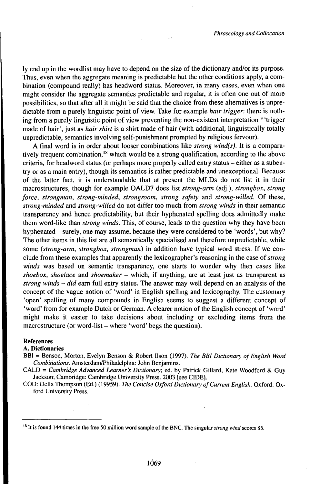ly end up in the wordlist may have to depend on the size of the dictionary and/or its purpose. Thus, even when the aggregate meaning is predictable but the other conditions apply, a combination (compound really) has headword status. Moreover, in many cases, even when one might consider the aggregate semantics predictable and regular, it is often one out of more possibilities, so that after all it might be said that the choice from these alternatives is unpredictable from a purely linguistic point of view. Take for example *hair trigger,* there is nothing from a purely linguistic point of view preventing the non-existent interpretation \*'trigger made of hair', just as *hair shirt* is a shirt made of hair (with additional, linguistically totally unpredictable, semantics involving self-punishment prompted by religious fervour).

 $\alpha$   $\beta$ 

A final word is in order about looser combinations like *strong wind(s).* It is a comparatively frequent combination,<sup>18</sup> which would be a strong qualification, according to the above criteria, for headword status (or perhaps more properly called entry status – either as a subentry or as a main entry), though its semantics is rather predictable and unexceptional. Because of the latter fact, it is understandable that at present the MLDs do not list it in their macrostructures, though for example OALD7 does list *strong-arm* (adj.), *strongbox, strong force, strongman, strong-minded, strongroom, strong safety* and *strong-willed.* Of these, *strong-minded* and *strong-willed* do not differ too much from *strong winds* in their semantic transparency and hence predictability, but their hyphenated spelling does admittedly make them word-like than *strong winds.* This, of course, leads to the question why they have been hyphenated – surely, one may assume, because they were considered to be 'words', but why? The other items in this list are all semantically specialised and therefore unpredictable, while some *(strong-arm, strongbox, strongman)* in addition have typical word stress. If we conclude from these examples that apparently the lexicographer's reasoning in the case *oistrong winds* was based on semantic transparency, one starts to wonder why then cases like *shoebox, shoelace* and *shoemaker* - which, if anything, are at least just as transparent as *strong winds - did* earn full entry status. The answer may well depend on an analysis of the concept of the vague notion of 'word' in English spelling and lexicography. The customary 'open' spelling of many compounds in English seems to suggest a different concept of 'word' from for example Dutch or German. A clearer notion of the English concept of 'word' might make it easier to take decisions about including or excluding items from the macrostructure (or word-list – where 'word' begs the question).

#### References

#### A. Dictionaries

BBI = Benson, Morton, Evelyn Benson & Robert Ilson (1997). *The BBI Dictionary ofEnglish Word Combinations.* AmsterdanVPhiladelphia: John Benjamins.

CALD = *Cambridge Advanced Learner's Dictionary;* ed. by Patrick Gillard, Kate Woodford & Guy Jackson; Cambridge: Cambridge University Press. 2003 [see CIDE].

COD: Delia Thompson (Ed.) (19959). *The Concise Oxford Dictionary ofCurrent English.* Oxford: Oxford University Press.

<sup>&#</sup>x27; It is found 144 times in the free 50 million word sample of the BNC. The singular *strong wind* scores 85.